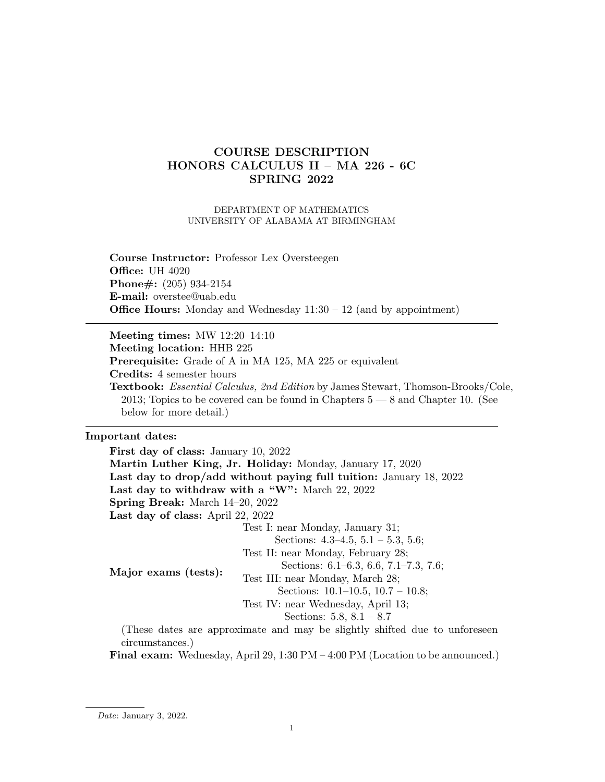# COURSE DESCRIPTION HONORS CALCULUS II – MA 226 - 6C SPRING 2022

#### DEPARTMENT OF MATHEMATICS UNIVERSITY OF ALABAMA AT BIRMINGHAM

Course Instructor: Professor Lex Oversteegen **Office: UH 4020** Phone#: (205) 934-2154 E-mail: overstee@uab.edu **Office Hours:** Monday and Wednesday  $11:30 - 12$  (and by appointment)

Meeting times: MW 12:20–14:10 Meeting location: HHB 225 Prerequisite: Grade of A in MA 125, MA 225 or equivalent Credits: 4 semester hours Textbook: Essential Calculus, 2nd Edition by James Stewart, Thomson-Brooks/Cole, 2013; Topics to be covered can be found in Chapters 5 — 8 and Chapter 10. (See below for more detail.)

#### Important dates:

First day of class: January 10, 2022 Martin Luther King, Jr. Holiday: Monday, January 17, 2020 Last day to drop/add without paying full tuition: January 18, 2022 Last day to withdraw with a "W": March 22, 2022 Spring Break: March 14–20, 2022 Last day of class: April 22, 2022 Major exams (tests): Test I: near Monday, January 31; Sections: 4.3–4.5, 5.1 – 5.3, 5.6; Test II: near Monday, February 28; Sections: 6.1–6.3, 6.6, 7.1–7.3, 7.6; Test III: near Monday, March 28; Sections: 10.1–10.5, 10.7 – 10.8; Test IV: near Wednesday, April 13; Sections: 5.8, 8.1 – 8.7 (These dates are approximate and may be slightly shifted due to unforeseen circumstances.)

Final exam: Wednesday, April 29, 1:30 PM – 4:00 PM (Location to be announced.)

Date: January 3, 2022.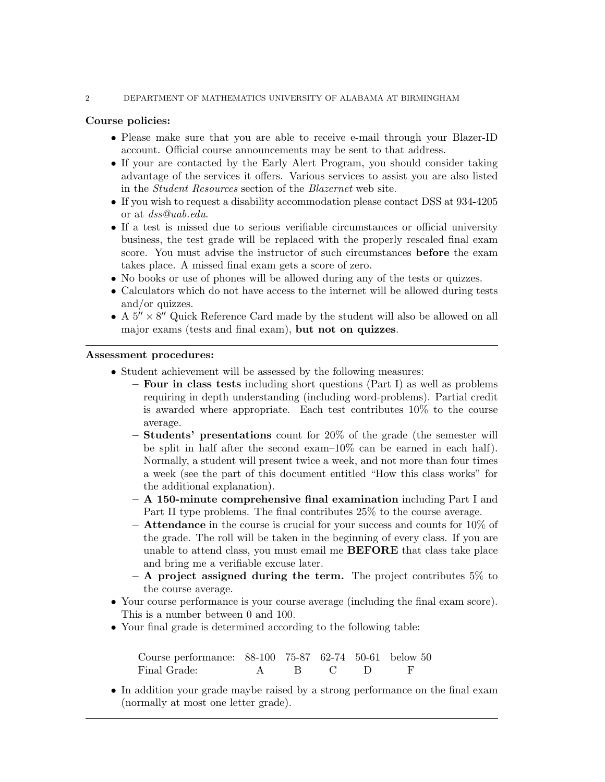#### 2 DEPARTMENT OF MATHEMATICS UNIVERSITY OF ALABAMA AT BIRMINGHAM

### Course policies:

- Please make sure that you are able to receive e-mail through your Blazer-ID account. Official course announcements may be sent to that address.
- If your are contacted by the Early Alert Program, you should consider taking advantage of the services it offers. Various services to assist you are also listed in the Student Resources section of the Blazernet web site.
- If you wish to request a disability accommodation please contact DSS at 934-4205 or at dss@uab.edu.
- If a test is missed due to serious verifiable circumstances or official university business, the test grade will be replaced with the properly rescaled final exam score. You must advise the instructor of such circumstances before the exam takes place. A missed final exam gets a score of zero.
- No books or use of phones will be allowed during any of the tests or quizzes.
- Calculators which do not have access to the internet will be allowed during tests and/or quizzes.
- A  $5'' \times 8''$  Quick Reference Card made by the student will also be allowed on all major exams (tests and final exam), but not on quizzes.

#### Assessment procedures:

- Student achievement will be assessed by the following measures:
	- Four in class tests including short questions (Part I) as well as problems requiring in depth understanding (including word-problems). Partial credit is awarded where appropriate. Each test contributes 10% to the course average.
	- Students' presentations count for 20% of the grade (the semester will be split in half after the second exam–10% can be earned in each half). Normally, a student will present twice a week, and not more than four times a week (see the part of this document entitled "How this class works" for the additional explanation).
	- $-$  A 150-minute comprehensive final examination including Part I and Part II type problems. The final contributes 25% to the course average.
	- $-$  Attendance in the course is crucial for your success and counts for 10% of the grade. The roll will be taken in the beginning of every class. If you are unable to attend class, you must email me BEFORE that class take place and bring me a verifiable excuse later.
	- $-$  A project assigned during the term. The project contributes 5% to the course average.
- Your course performance is your course average (including the final exam score). This is a number between 0 and 100.
- Your final grade is determined according to the following table:

Course performance: 88-100 75-87 62-74 50-61 below 50 Final Grade: A B C D F

• In addition your grade maybe raised by a strong performance on the final exam (normally at most one letter grade).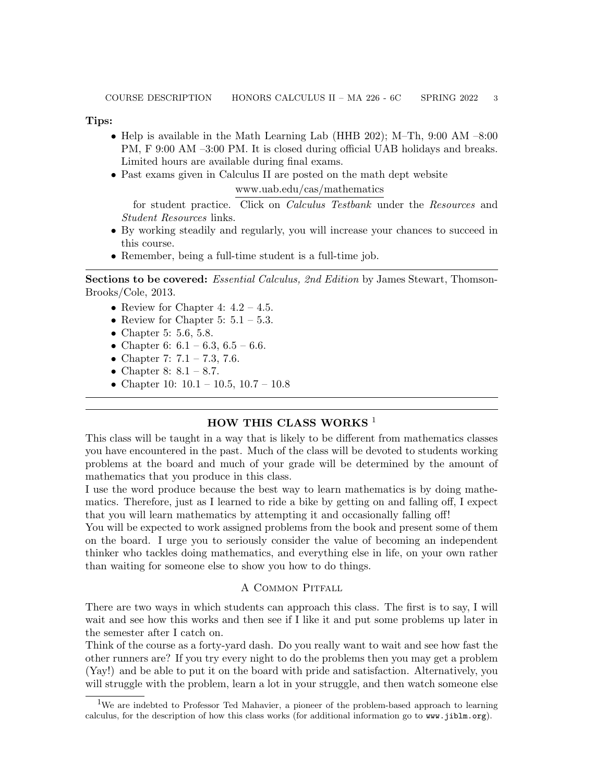Tips:

- Help is available in the Math Learning Lab (HHB 202); M–Th, 9:00 AM –8:00 PM, F 9:00 AM –3:00 PM. It is closed during official UAB holidays and breaks. Limited hours are available during final exams.
- Past exams given in Calculus II are posted on the math dept website

#### www.uab.edu/cas/mathematics

for student practice. Click on Calculus Testbank under the Resources and Student Resources links.

- By working steadily and regularly, you will increase your chances to succeed in this course.
- Remember, being a full-time student is a full-time job.

Sections to be covered: Essential Calculus, 2nd Edition by James Stewart, Thomson-Brooks/Cole, 2013.

- Review for Chapter 4:  $4.2 4.5$ .
- Review for Chapter 5:  $5.1 5.3$ .
- Chapter 5: 5.6, 5.8.
- Chapter 6:  $6.1 6.3$ ,  $6.5 6.6$ .
- Chapter 7:  $7.1 7.3$ , 7.6.
- Chapter 8:  $8.1 8.7$ .
- Chapter 10:  $10.1 10.5$ ,  $10.7 10.8$

## HOW THIS CLASS WORKS<sup>1</sup>

This class will be taught in a way that is likely to be different from mathematics classes you have encountered in the past. Much of the class will be devoted to students working problems at the board and much of your grade will be determined by the amount of mathematics that you produce in this class.

I use the word produce because the best way to learn mathematics is by doing mathematics. Therefore, just as I learned to ride a bike by getting on and falling off, I expect that you will learn mathematics by attempting it and occasionally falling off!

You will be expected to work assigned problems from the book and present some of them on the board. I urge you to seriously consider the value of becoming an independent thinker who tackles doing mathematics, and everything else in life, on your own rather than waiting for someone else to show you how to do things.

#### A Common Pitfall

There are two ways in which students can approach this class. The first is to say, I will wait and see how this works and then see if I like it and put some problems up later in the semester after I catch on.

Think of the course as a forty-yard dash. Do you really want to wait and see how fast the other runners are? If you try every night to do the problems then you may get a problem (Yay!) and be able to put it on the board with pride and satisfaction. Alternatively, you will struggle with the problem, learn a lot in your struggle, and then watch someone else

<sup>1</sup>We are indebted to Professor Ted Mahavier, a pioneer of the problem-based approach to learning calculus, for the description of how this class works (for additional information go to www.jiblm.org).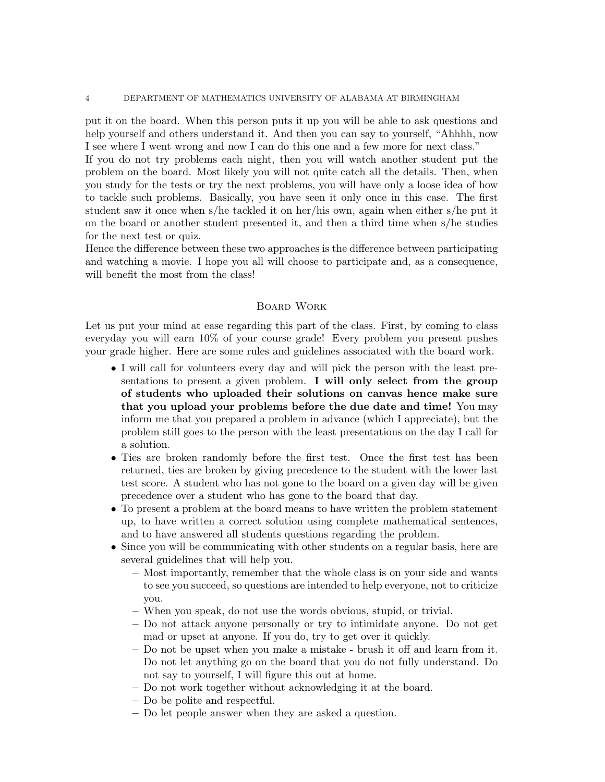put it on the board. When this person puts it up you will be able to ask questions and help yourself and others understand it. And then you can say to yourself, "Ahhhh, now I see where I went wrong and now I can do this one and a few more for next class."

If you do not try problems each night, then you will watch another student put the problem on the board. Most likely you will not quite catch all the details. Then, when you study for the tests or try the next problems, you will have only a loose idea of how to tackle such problems. Basically, you have seen it only once in this case. The first student saw it once when s/he tackled it on her/his own, again when either s/he put it on the board or another student presented it, and then a third time when s/he studies for the next test or quiz.

Hence the difference between these two approaches is the difference between participating and watching a movie. I hope you all will choose to participate and, as a consequence, will benefit the most from the class!

#### Board Work

Let us put your mind at ease regarding this part of the class. First, by coming to class everyday you will earn 10% of your course grade! Every problem you present pushes your grade higher. Here are some rules and guidelines associated with the board work.

- I will call for volunteers every day and will pick the person with the least presentations to present a given problem. I will only select from the group of students who uploaded their solutions on canvas hence make sure that you upload your problems before the due date and time! You may inform me that you prepared a problem in advance (which I appreciate), but the problem still goes to the person with the least presentations on the day I call for a solution.
- Ties are broken randomly before the first test. Once the first test has been returned, ties are broken by giving precedence to the student with the lower last test score. A student who has not gone to the board on a given day will be given precedence over a student who has gone to the board that day.
- To present a problem at the board means to have written the problem statement up, to have written a correct solution using complete mathematical sentences, and to have answered all students questions regarding the problem.
- Since you will be communicating with other students on a regular basis, here are several guidelines that will help you.
	- Most importantly, remember that the whole class is on your side and wants to see you succeed, so questions are intended to help everyone, not to criticize you.
	- When you speak, do not use the words obvious, stupid, or trivial.
	- Do not attack anyone personally or try to intimidate anyone. Do not get mad or upset at anyone. If you do, try to get over it quickly.
	- Do not be upset when you make a mistake brush it off and learn from it. Do not let anything go on the board that you do not fully understand. Do not say to yourself, I will figure this out at home.
	- Do not work together without acknowledging it at the board.
	- Do be polite and respectful.
	- Do let people answer when they are asked a question.